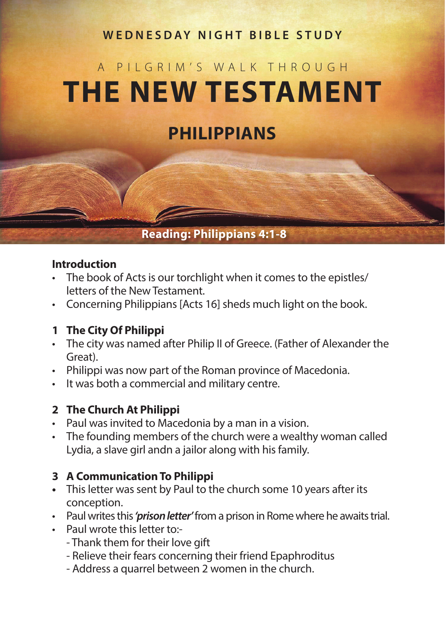# **WEDNESDAY NIGHT BIBLE STUDY**

# A PILGRIM'S WALK THROUGH **THE NEW TESTAMENT**

# **PHILIPPIANS**

# **Reading: Philippians 4:1-8**

#### **Introduction**

- The book of Acts is our torchlight when it comes to the epistles/ letters of the New Testament.
- Concerning Philippians [Acts 16] sheds much light on the book.

#### **1 The City Of Philippi**

- The city was named after Philip II of Greece. (Father of Alexander the Great).
- Philippi was now part of the Roman province of Macedonia.
- It was both a commercial and military centre.

#### **2 The Church At Philippi**

- Paul was invited to Macedonia by a man in a vision.
- The founding members of the church were a wealthy woman called Lydia, a slave girl andn a jailor along with his family.

#### **3 A Communication To Philippi**

- **•** This letter was sent by Paul to the church some 10 years after its conception.
- Paul writes this *'prison letter'* from a prison in Rome where he awaits trial.
- Paul wrote this letter to:-
	- Thank them for their love gift
	- Relieve their fears concerning their friend Epaphroditus
	- Address a quarrel between 2 women in the church.